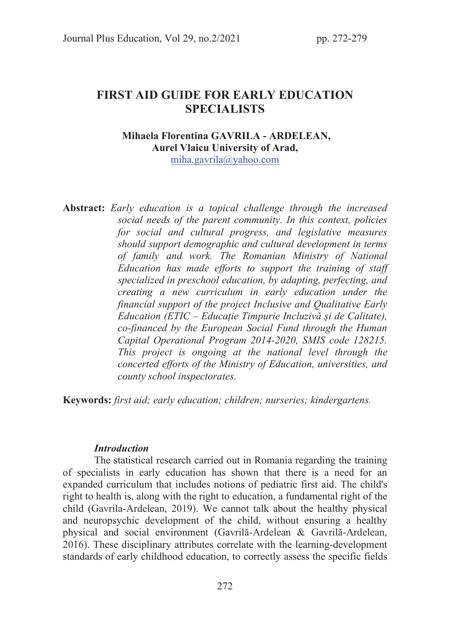# FIRST AID GUIDE FOR EARLY EDUCATION **SPECIALISTS**

### Mihaela Florentina GAVRILA - ARDELEAN, Aurel Vlaicu University of Arad, miha.gavrila@yahoo.com

Abstract: Early education is a topical challenge through the increased social needs of the parent community. In this context, policies for social and cultural progress, and legislative measures should support demographic and cultural development in terms of family and work. The Romanian Ministry of National Education has made efforts to support the training of staff specialized in preschool education, by adapting, perfecting, and creating a new curriculum in early education under the financial support of the project Inclusive and Qualitative Early Education (ETIC – Educație Timpurie Incluzivă și de Calitate), co-financed by the European Social Fund through the Human Capital Operational Program 2014-2020, SMIS code 128215. This project is ongoing at the national level through the concerted efforts of the Ministry of Education, universities, and county school inspectorates.

Keywords: first aid; early education; children; nurseries; kindergartens.

## **Introduction**

The statistical research carried out in Romania regarding the training of specialists in early education has shown that there is a need for an expanded curriculum that includes notions of pediatric first aid. The child's right to health is, along with the right to education, a fundamental right of the child (Gavrila-Ardelean, 2019). We cannot talk about the healthy physical and neuropsychic development of the child, without ensuring a healthy physical and social environment (Gavrilă-Ardelean & Gavrilă-Ardelean, 2016). These disciplinary attributes correlate with the learning-development standards of early childhood education, to correctly assess the specific fields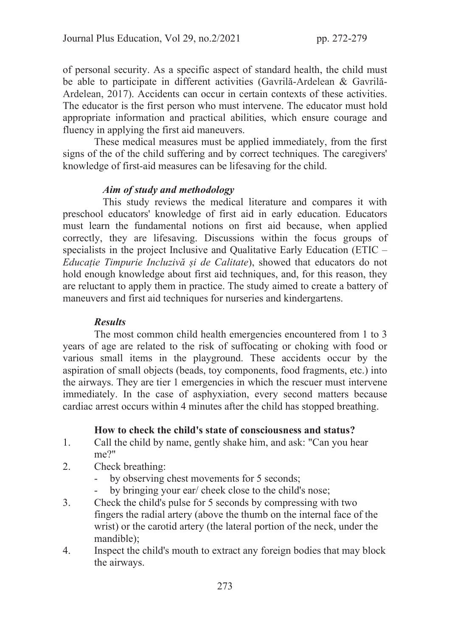of personal security. As a specific aspect of standard health, the child must be able to participate in different activities (Gavrilă-Ardelean & Gavrilă-Ardelean, 2017). Accidents can occur in certain contexts of these activities. The educator is the first person who must intervene. The educator must hold appropriate information and practical abilities, which ensure courage and fluency in applying the first aid maneuvers.

These medical measures must be applied immediately, from the first signs of the of the child suffering and by correct techniques. The caregivers' knowledge of first-aid measures can be lifesaving for the child.

### Aim of study and methodology

 This study reviews the medical literature and compares it with preschool educators' knowledge of first aid in early education. Educators must learn the fundamental notions on first aid because, when applied correctly, they are lifesaving. Discussions within the focus groups of specialists in the project Inclusive and Qualitative Early Education (ETIC – Educație Timpurie Incluzivă și de Calitate), showed that educators do not hold enough knowledge about first aid techniques, and, for this reason, they are reluctant to apply them in practice. The study aimed to create a battery of maneuvers and first aid techniques for nurseries and kindergartens.

### Results

The most common child health emergencies encountered from 1 to 3 years of age are related to the risk of suffocating or choking with food or various small items in the playground. These accidents occur by the aspiration of small objects (beads, toy components, food fragments, etc.) into the airways. They are tier 1 emergencies in which the rescuer must intervene immediately. In the case of asphyxiation, every second matters because cardiac arrest occurs within 4 minutes after the child has stopped breathing.

### How to check the child's state of consciousness and status?

- 1. Call the child by name, gently shake him, and ask: "Can you hear me?"
- 2. Check breathing:
	- by observing chest movements for 5 seconds;
	- by bringing your ear/ cheek close to the child's nose;
- 3. Check the child's pulse for 5 seconds by compressing with two fingers the radial artery (above the thumb on the internal face of the wrist) or the carotid artery (the lateral portion of the neck, under the mandible);
- 4. Inspect the child's mouth to extract any foreign bodies that may block the airways.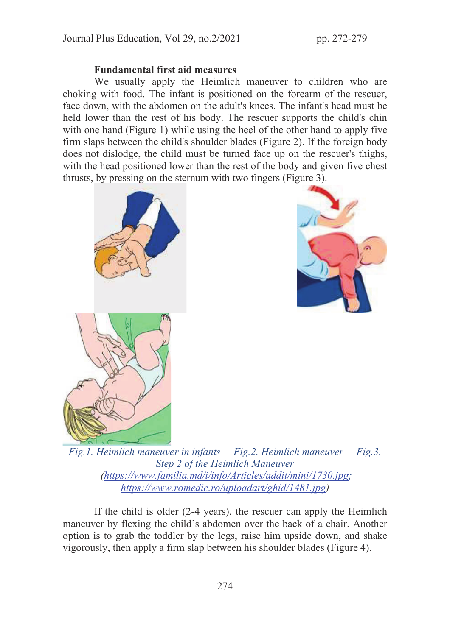# Fundamental first aid measures

We usually apply the Heimlich maneuver to children who are choking with food. The infant is positioned on the forearm of the rescuer, face down, with the abdomen on the adult's knees. The infant's head must be held lower than the rest of his body. The rescuer supports the child's chin with one hand (Figure 1) while using the heel of the other hand to apply five firm slaps between the child's shoulder blades (Figure 2). If the foreign body does not dislodge, the child must be turned face up on the rescuer's thighs, with the head positioned lower than the rest of the body and given five chest thrusts, by pressing on the sternum with two fingers (Figure 3).





Fig.1. Heimlich maneuver in infants Fig.2. Heimlich maneuver Fig.3. Step 2 of the Heimlich Maneuver (https://www.familia.md/i/info/Articles/addit/mini/1730.jpg; https://www.romedic.ro/uploadart/ghid/1481.jpg)

If the child is older (2-4 years), the rescuer can apply the Heimlich maneuver by flexing the child's abdomen over the back of a chair. Another option is to grab the toddler by the legs, raise him upside down, and shake vigorously, then apply a firm slap between his shoulder blades (Figure 4).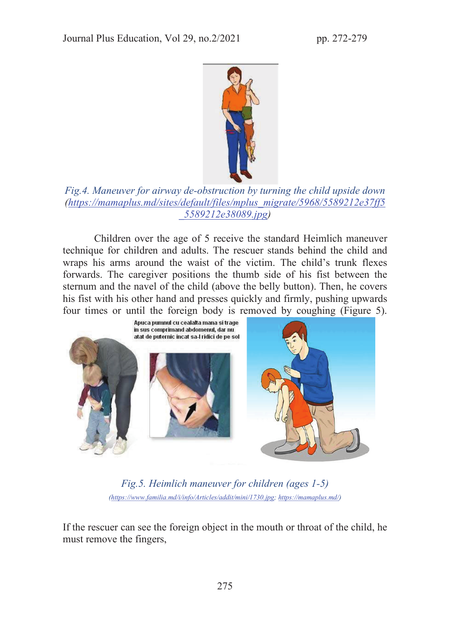

# Fig.4. Maneuver for airway de-obstruction by turning the child upside down (https://mamaplus.md/sites/default/files/mplus\_migrate/5968/5589212e37ff5 \_5589212e38089.jpg)

Children over the age of 5 receive the standard Heimlich maneuver technique for children and adults. The rescuer stands behind the child and wraps his arms around the waist of the victim. The child's trunk flexes forwards. The caregiver positions the thumb side of his fist between the sternum and the navel of the child (above the belly button). Then, he covers his fist with his other hand and presses quickly and firmly, pushing upwards four times or until the foreign body is removed by coughing (Figure 5).



Fig.5. Heimlich maneuver for children (ages 1-5) (https://www.familia.md/i/info/Articles/addit/mini/1730.jpg; https://mamaplus.md/)

If the rescuer can see the foreign object in the mouth or throat of the child, he must remove the fingers,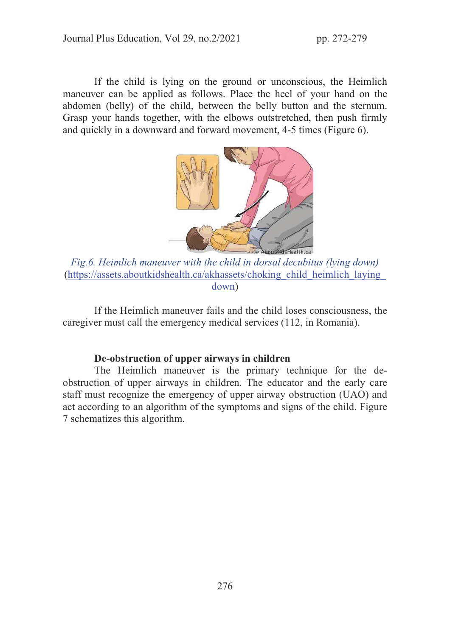If the child is lying on the ground or unconscious, the Heimlich maneuver can be applied as follows. Place the heel of your hand on the abdomen (belly) of the child, between the belly button and the sternum. Grasp your hands together, with the elbows outstretched, then push firmly and quickly in a downward and forward movement, 4-5 times (Figure 6).



Fig.6. Heimlich maneuver with the child in dorsal decubitus (lying down) (https://assets.aboutkidshealth.ca/akhassets/choking\_child\_heimlich\_laying\_ down)

 If the Heimlich maneuver fails and the child loses consciousness, the caregiver must call the emergency medical services (112, in Romania).

# De-obstruction of upper airways in children

The Heimlich maneuver is the primary technique for the deobstruction of upper airways in children. The educator and the early care staff must recognize the emergency of upper airway obstruction (UAO) and act according to an algorithm of the symptoms and signs of the child. Figure 7 schematizes this algorithm.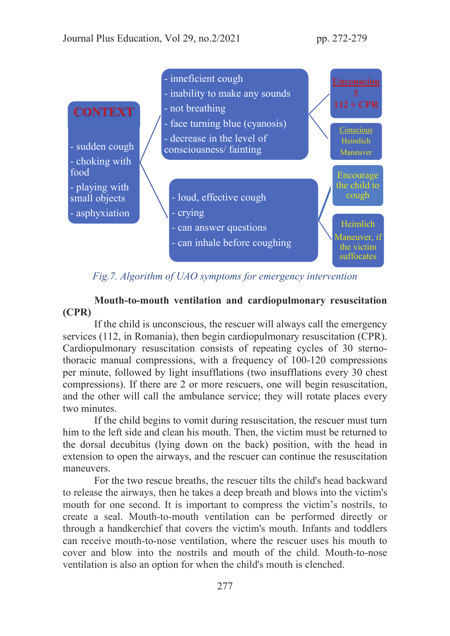

Fig.7. Algorithm of UAO symptoms for emergency intervention

Mouth-to-mouth ventilation and cardiopulmonary resuscitation (CPR)

If the child is unconscious, the rescuer will always call the emergency services (112, in Romania), then begin cardiopulmonary resuscitation (CPR). Cardiopulmonary resuscitation consists of repeating cycles of 30 sternothoracic manual compressions, with a frequency of 100-120 compressions per minute, followed by light insufflations (two insufflations every 30 chest compressions). If there are 2 or more rescuers, one will begin resuscitation, and the other will call the ambulance service; they will rotate places every two minutes.

If the child begins to vomit during resuscitation, the rescuer must turn him to the left side and clean his mouth. Then, the victim must be returned to the dorsal decubitus (lying down on the back) position, with the head in extension to open the airways, and the rescuer can continue the resuscitation maneuvers.

For the two rescue breaths, the rescuer tilts the child's head backward to release the airways, then he takes a deep breath and blows into the victim's mouth for one second. It is important to compress the victim's nostrils, to create a seal. Mouth-to-mouth ventilation can be performed directly or through a handkerchief that covers the victim's mouth. Infants and toddlers can receive mouth-to-nose ventilation, where the rescuer uses his mouth to cover and blow into the nostrils and mouth of the child. Mouth-to-nose ventilation is also an option for when the child's mouth is clenched.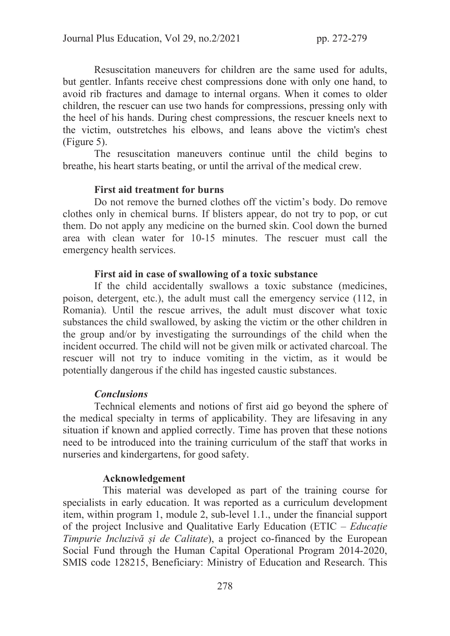Resuscitation maneuvers for children are the same used for adults, but gentler. Infants receive chest compressions done with only one hand, to avoid rib fractures and damage to internal organs. When it comes to older children, the rescuer can use two hands for compressions, pressing only with the heel of his hands. During chest compressions, the rescuer kneels next to the victim, outstretches his elbows, and leans above the victim's chest (Figure 5).

The resuscitation maneuvers continue until the child begins to breathe, his heart starts beating, or until the arrival of the medical crew.

### First aid treatment for burns

Do not remove the burned clothes off the victim's body. Do remove clothes only in chemical burns. If blisters appear, do not try to pop, or cut them. Do not apply any medicine on the burned skin. Cool down the burned area with clean water for 10-15 minutes. The rescuer must call the emergency health services.

#### First aid in case of swallowing of a toxic substance

If the child accidentally swallows a toxic substance (medicines, poison, detergent, etc.), the adult must call the emergency service (112, in Romania). Until the rescue arrives, the adult must discover what toxic substances the child swallowed, by asking the victim or the other children in the group and/or by investigating the surroundings of the child when the incident occurred. The child will not be given milk or activated charcoal. The rescuer will not try to induce vomiting in the victim, as it would be potentially dangerous if the child has ingested caustic substances.

## **Conclusions**

Technical elements and notions of first aid go beyond the sphere of the medical specialty in terms of applicability. They are lifesaving in any situation if known and applied correctly. Time has proven that these notions need to be introduced into the training curriculum of the staff that works in nurseries and kindergartens, for good safety.

#### Acknowledgement

 This material was developed as part of the training course for specialists in early education. It was reported as a curriculum development item, within program 1, module 2, sub-level 1.1., under the financial support of the project Inclusive and Qualitative Early Education (ETIC – Educație Timpurie Incluzivă și de Calitate), a project co-financed by the European Social Fund through the Human Capital Operational Program 2014-2020, SMIS code 128215, Beneficiary: Ministry of Education and Research. This